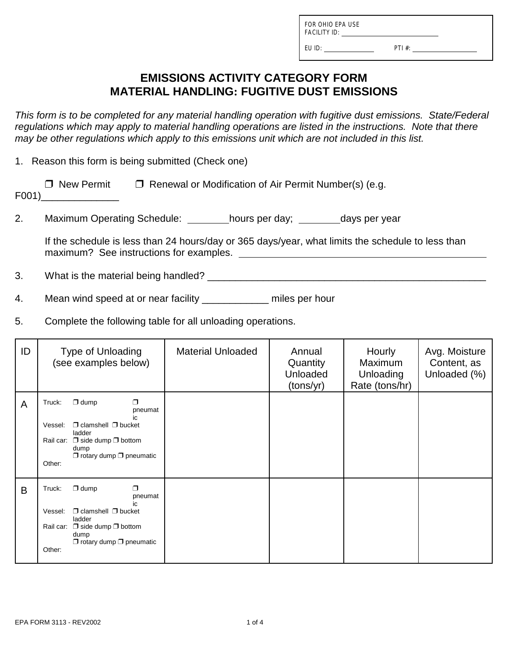FOR OHIO EPA USE FACILITY ID:

EU ID: PTI #:

## **EMISSIONS ACTIVITY CATEGORY FORM MATERIAL HANDLING: FUGITIVE DUST EMISSIONS**

*This form is to be completed for any material handling operation with fugitive dust emissions. State/Federal regulations which may apply to material handling operations are listed in the instructions. Note that there may be other regulations which apply to this emissions unit which are not included in this list.*

1. Reason this form is being submitted (Check one)

| $\Box$ New Permit | $\Box$ Renewal or Modification of Air Permit Number(s) (e.g. |
|-------------------|--------------------------------------------------------------|
| F001)             |                                                              |

2. Maximum Operating Schedule: hours per day; days per year

If the schedule is less than 24 hours/day or 365 days/year, what limits the schedule to less than maximum? See instructions for examples.

3. What is the material being handled? \_\_\_\_\_\_\_\_\_\_\_\_\_\_\_\_\_\_\_\_\_\_\_\_\_\_\_\_\_\_\_\_\_\_\_\_\_\_\_\_\_\_\_\_\_\_\_\_\_\_

4. Mean wind speed at or near facility \_\_\_\_\_\_\_\_\_\_\_\_ miles per hour

5. Complete the following table for all unloading operations.

| ID | <b>Type of Unloading</b><br>(see examples below)                                                                                                                                                              | <b>Material Unloaded</b> | Annual<br>Quantity<br>Unloaded<br>(tons/yr) | Hourly<br>Maximum<br>Unloading<br>Rate (tons/hr) | Avg. Moisture<br>Content, as<br>Unloaded (%) |
|----|---------------------------------------------------------------------------------------------------------------------------------------------------------------------------------------------------------------|--------------------------|---------------------------------------------|--------------------------------------------------|----------------------------------------------|
| A  | $\Box$ dump<br>Truck:<br>$\Box$<br>pneumat<br>ic.<br>$\Box$ clamshell $\Box$ bucket<br>Vessel:<br>ladder<br>Rail car: $\Box$ side dump $\Box$ bottom<br>dump<br>$\Box$ rotary dump $\Box$ pneumatic<br>Other: |                          |                                             |                                                  |                                              |
| B  | $\Box$ dump<br>$\Box$<br>Truck:<br>pneumat<br>$\Box$ clamshell $\Box$ bucket<br>Vessel:<br>ladder<br>Rail car: $\Box$ side dump $\Box$ bottom<br>dump<br>$\Box$ rotary dump $\Box$ pneumatic<br>Other:        |                          |                                             |                                                  |                                              |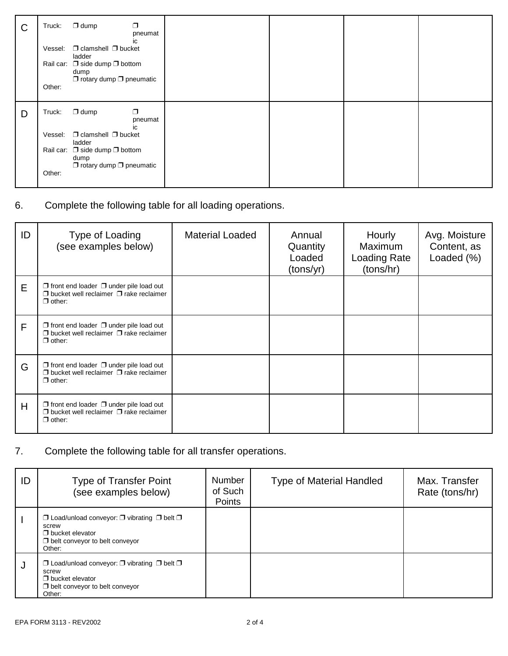| $\mathsf{C}$ | $\Box$ dump<br>Truck:<br>Vessel:<br>ladder<br>dump<br>Other: | ⊓<br>pneumat<br>ic<br>$\Box$ clamshell $\Box$ bucket<br>Rail car: $\Box$ side dump $\Box$ bottom<br>$\Box$ rotary dump $\Box$ pneumatic |  |  |
|--------------|--------------------------------------------------------------|-----------------------------------------------------------------------------------------------------------------------------------------|--|--|
| D            | $\Box$ dump<br>Truck:                                        | ⊓<br>pneumat                                                                                                                            |  |  |
|              | Vessel:<br>ladder                                            | ic<br>$\Box$ clamshell $\Box$ bucket                                                                                                    |  |  |
|              | dump                                                         | Rail car: $\Box$ side dump $\Box$ bottom<br>$\Box$ rotary dump $\Box$ pneumatic                                                         |  |  |
|              | Other:                                                       |                                                                                                                                         |  |  |

6. Complete the following table for all loading operations.

| ID | Type of Loading<br>(see examples below)                                                                                   | <b>Material Loaded</b> | Annual<br>Quantity<br>Loaded<br>(tons/yr) | Hourly<br><b>Maximum</b><br><b>Loading Rate</b><br>(tons/hr) | Avg. Moisture<br>Content, as<br>Loaded (%) |
|----|---------------------------------------------------------------------------------------------------------------------------|------------------------|-------------------------------------------|--------------------------------------------------------------|--------------------------------------------|
| E  | $\Box$ front end loader $\Box$ under pile load out<br>$\Box$ bucket well reclaimer $\Box$ rake reclaimer<br>$\Box$ other: |                        |                                           |                                                              |                                            |
| F  | $\Box$ front end loader $\Box$ under pile load out<br>$\Box$ bucket well reclaimer $\Box$ rake reclaimer<br>$\Box$ other: |                        |                                           |                                                              |                                            |
| G  | $\Box$ front end loader $\Box$ under pile load out<br>$\Box$ bucket well reclaimer $\Box$ rake reclaimer<br>$\Box$ other: |                        |                                           |                                                              |                                            |
| H  | $\Box$ front end loader $\Box$ under pile load out<br>$\Box$ bucket well reclaimer $\Box$ rake reclaimer<br>$\Box$ other: |                        |                                           |                                                              |                                            |

7. Complete the following table for all transfer operations.

| ID | <b>Type of Transfer Point</b><br>(see examples below)                                                                                                  | <b>Number</b><br>of Such<br>Points | <b>Type of Material Handled</b> | Max. Transfer<br>Rate (tons/hr) |
|----|--------------------------------------------------------------------------------------------------------------------------------------------------------|------------------------------------|---------------------------------|---------------------------------|
|    | $\Box$ Load/unload conveyor: $\Box$ vibrating $\Box$ belt $\Box$<br>screw<br>$\Box$ bucket elevator<br>$\Box$ belt conveyor to belt conveyor<br>Other: |                                    |                                 |                                 |
| J. | $\Box$ Load/unload conveyor: $\Box$ vibrating $\Box$ belt $\Box$<br>screw<br>$\Box$ bucket elevator<br>$\Box$ belt conveyor to belt conveyor<br>Other: |                                    |                                 |                                 |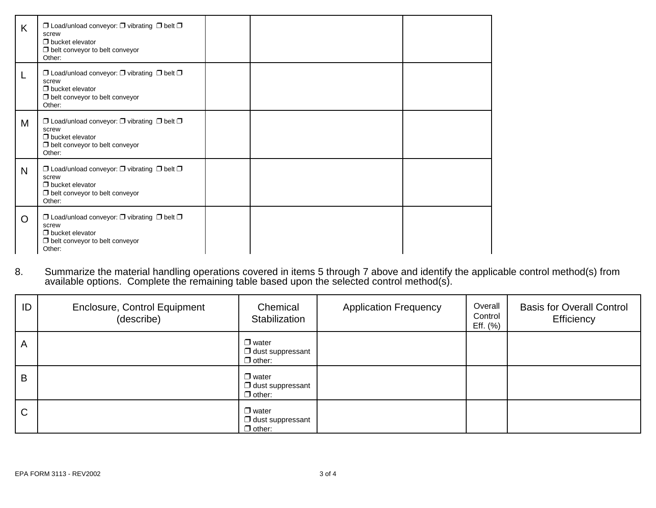| K        | $\Box$ Load/unload conveyor: $\Box$ vibrating $\Box$ belt $\Box$<br>screw<br>$\Box$ bucket elevator<br>$\Box$ belt conveyor to belt conveyor<br>Other: |  |  |
|----------|--------------------------------------------------------------------------------------------------------------------------------------------------------|--|--|
| L        | $\Box$ Load/unload conveyor: $\Box$ vibrating $\Box$ belt $\Box$<br>screw<br>$\Box$ bucket elevator<br>$\Box$ belt conveyor to belt conveyor<br>Other: |  |  |
| M        | $\Box$ Load/unload conveyor: $\Box$ vibrating $\Box$ belt $\Box$<br>screw<br>$\Box$ bucket elevator<br>$\Box$ belt conveyor to belt conveyor<br>Other: |  |  |
| N        | $\Box$ Load/unload conveyor: $\Box$ vibrating $\Box$ belt $\Box$<br>screw<br>$\Box$ bucket elevator<br>$\Box$ belt conveyor to belt conveyor<br>Other: |  |  |
| $\Omega$ | $\Box$ Load/unload conveyor: $\Box$ vibrating $\Box$ belt $\Box$<br>screw<br>$\Box$ bucket elevator<br>$\Box$ belt conveyor to belt conveyor<br>Other: |  |  |

8. Summarize the material handling operations covered in items 5 through 7 above and identify the applicable control method(s) from available options. Complete the remaining table based upon the selected control method(s).

| ID           | <b>Enclosure, Control Equipment</b><br>(describe) | Chemical<br>Stabilization                                | <b>Application Frequency</b> | Overall<br>Control<br>Eff. $(\%)$ | <b>Basis for Overall Control</b><br>Efficiency |
|--------------|---------------------------------------------------|----------------------------------------------------------|------------------------------|-----------------------------------|------------------------------------------------|
| A            |                                                   | $\Box$ water<br>$\Box$ dust suppressant<br>$\Box$ other: |                              |                                   |                                                |
| B            |                                                   | $\Box$ water<br>$\Box$ dust suppressant<br>$\Box$ other: |                              |                                   |                                                |
| $\mathsf{C}$ |                                                   | $\Box$ water<br>$\Box$ dust suppressant<br>$\Box$ other: |                              |                                   |                                                |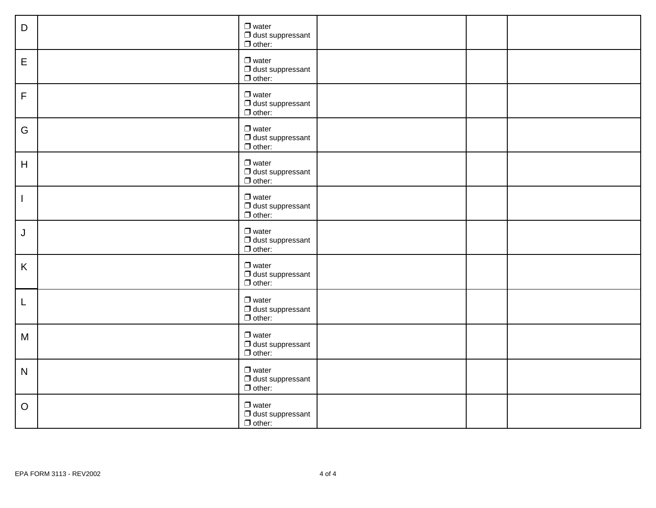| D            | $\Box$ water<br>$\Box$ dust suppressant<br>$\Box$ other: |
|--------------|----------------------------------------------------------|
| E            | $\Box$ water<br>$\Box$ dust suppressant<br>$\Box$ other: |
| $\mathsf F$  | $\Box$ water<br>$\Box$ dust suppressant<br>$\Box$ other: |
| G            | $\Box$ water<br>$\Box$ dust suppressant<br>$\Box$ other: |
| H            | $\Box$ water<br>$\Box$ dust suppressant<br>$\Box$ other: |
| $\mathbf{I}$ | $\Box$ water<br>$\Box$ dust suppressant<br>$\Box$ other: |
| J            | $\Box$ water<br>$\Box$ dust suppressant<br>$\Box$ other: |
| K            | $\Box$ water<br>$\Box$ dust suppressant<br>$\Box$ other: |
| L            | $\Box$ water<br>$\Box$ dust suppressant<br>$\Box$ other: |
| M            | $\Box$ water<br>$\Box$ dust suppressant<br>$\Box$ other: |
| $\mathsf{N}$ | $\Box$ water<br>$\Box$ dust suppressant<br>$\Box$ other: |
| $\circ$      | $\Box$ water<br>$\Box$ dust suppressant<br>$\Box$ other: |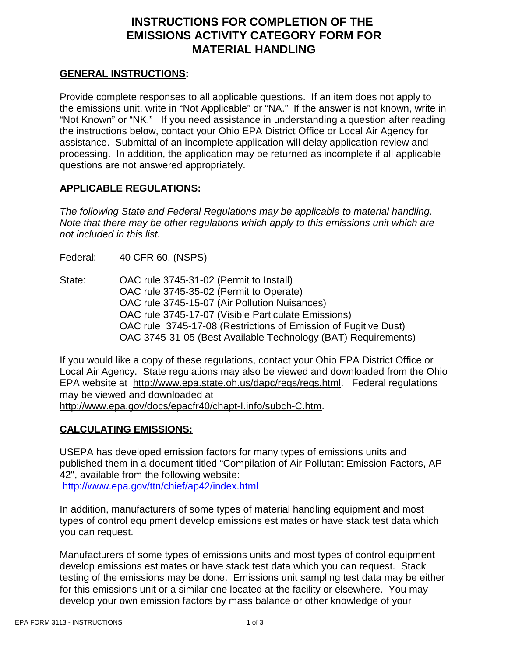# **INSTRUCTIONS FOR COMPLETION OF THE EMISSIONS ACTIVITY CATEGORY FORM FOR MATERIAL HANDLING**

#### **GENERAL INSTRUCTIONS:**

Provide complete responses to all applicable questions. If an item does not apply to the emissions unit, write in "Not Applicable" or "NA." If the answer is not known, write in "Not Known" or "NK." If you need assistance in understanding a question after reading the instructions below, contact your Ohio EPA District Office or Local Air Agency for assistance. Submittal of an incomplete application will delay application review and processing. In addition, the application may be returned as incomplete if all applicable questions are not answered appropriately.

### **APPLICABLE REGULATIONS:**

*The following State and Federal Regulations may be applicable to material handling. Note that there may be other regulations which apply to this emissions unit which are not included in this list.*

Federal: 40 CFR 60, (NSPS)

State: OAC rule 3745-31-02 (Permit to Install) OAC rule 3745-35-02 (Permit to Operate) OAC rule 3745-15-07 (Air Pollution Nuisances) OAC rule 3745-17-07 (Visible Particulate Emissions) OAC rule 3745-17-08 (Restrictions of Emission of Fugitive Dust) OAC 3745-31-05 (Best Available Technology (BAT) Requirements)

If you would like a copy of these regulations, contact your Ohio EPA District Office or Local Air Agency. State regulations may also be viewed and downloaded from the Ohio EPA website at http://www.epa.state.oh.us/dapc/regs/regs.html. Federal regulations may be viewed and downloaded at http://www.epa.gov/docs/epacfr40/chapt-I.info/subch-C.htm.

### **CALCULATING EMISSIONS:**

USEPA has developed emission factors for many types of emissions units and published them in a document titled "Compilation of Air Pollutant Emission Factors, AP-42", available from the following website: http://www.epa.gov/ttn/chief/ap42/index.html

In addition, manufacturers of some types of material handling equipment and most types of control equipment develop emissions estimates or have stack test data which you can request.

Manufacturers of some types of emissions units and most types of control equipment develop emissions estimates or have stack test data which you can request. Stack testing of the emissions may be done. Emissions unit sampling test data may be either for this emissions unit or a similar one located at the facility or elsewhere. You may develop your own emission factors by mass balance or other knowledge of your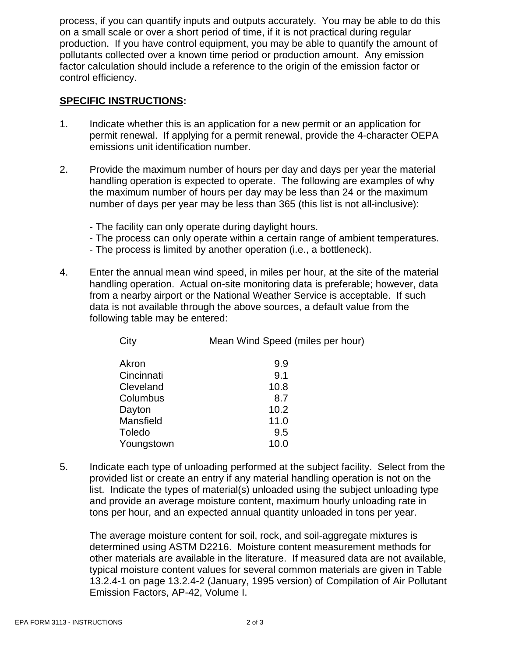process, if you can quantify inputs and outputs accurately. You may be able to do this on a small scale or over a short period of time, if it is not practical during regular production. If you have control equipment, you may be able to quantify the amount of pollutants collected over a known time period or production amount. Any emission factor calculation should include a reference to the origin of the emission factor or control efficiency.

#### **SPECIFIC INSTRUCTIONS:**

- 1. Indicate whether this is an application for a new permit or an application for permit renewal. If applying for a permit renewal, provide the 4-character OEPA emissions unit identification number.
- 2. Provide the maximum number of hours per day and days per year the material handling operation is expected to operate. The following are examples of why the maximum number of hours per day may be less than 24 or the maximum number of days per year may be less than 365 (this list is not all-inclusive):
	- The facility can only operate during daylight hours.
	- The process can only operate within a certain range of ambient temperatures.
	- The process is limited by another operation (i.e., a bottleneck).
- 4. Enter the annual mean wind speed, in miles per hour, at the site of the material handling operation. Actual on-site monitoring data is preferable; however, data from a nearby airport or the National Weather Service is acceptable. If such data is not available through the above sources, a default value from the following table may be entered:

| City       | Mean Wind Speed (miles per hour) |
|------------|----------------------------------|
| Akron      | 9.9                              |
| Cincinnati | 9.1                              |
| Cleveland  | 10.8                             |
| Columbus   | 8.7                              |
| Dayton     | 10.2                             |
| Mansfield  | 11.0                             |
| Toledo     | 9.5                              |
| Youngstown | 10.0                             |
|            |                                  |

5. Indicate each type of unloading performed at the subject facility. Select from the provided list or create an entry if any material handling operation is not on the list. Indicate the types of material(s) unloaded using the subject unloading type and provide an average moisture content, maximum hourly unloading rate in tons per hour, and an expected annual quantity unloaded in tons per year.

The average moisture content for soil, rock, and soil-aggregate mixtures is determined using ASTM D2216. Moisture content measurement methods for other materials are available in the literature. If measured data are not available, typical moisture content values for several common materials are given in Table 13.2.4-1 on page 13.2.4-2 (January, 1995 version) of Compilation of Air Pollutant Emission Factors, AP-42, Volume I.